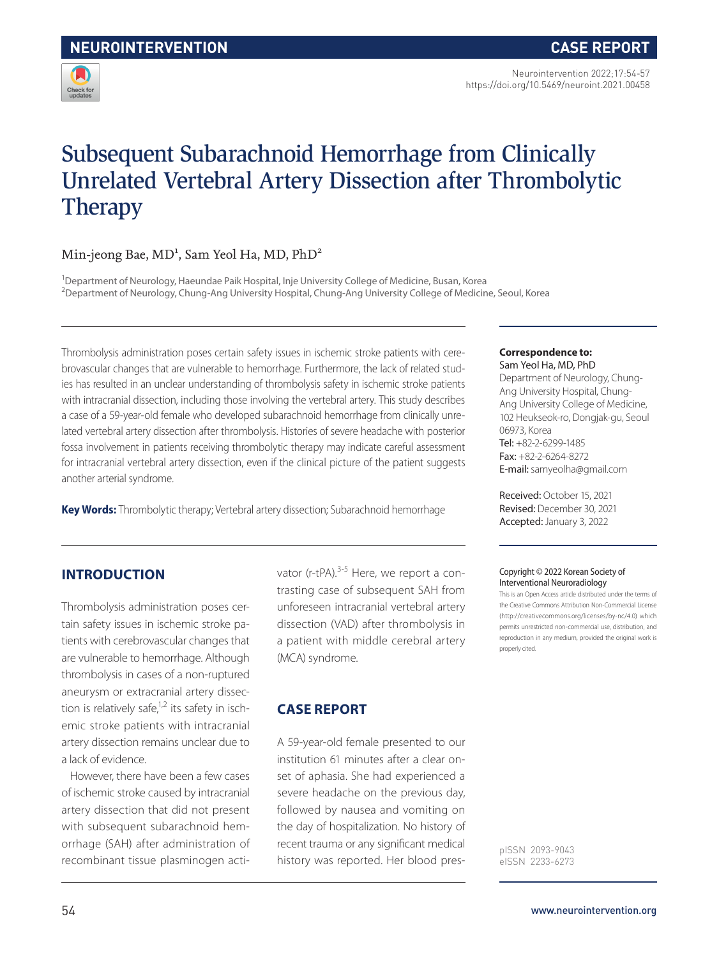

# Subsequent Subarachnoid Hemorrhage from Clinically Unrelated Vertebral Artery Dissection after Thrombolytic **Therapy**

# Min-jeong Bae, MD<sup>1</sup>, Sam Yeol Ha, MD, PhD<sup>2</sup>

<sup>1</sup>Department of Neurology, Haeundae Paik Hospital, Inje University College of Medicine, Busan, Korea 2 Department of Neurology, Chung-Ang University Hospital, Chung-Ang University College of Medicine, Seoul, Korea

Thrombolysis administration poses certain safety issues in ischemic stroke patients with cerebrovascular changes that are vulnerable to hemorrhage. Furthermore, the lack of related studies has resulted in an unclear understanding of thrombolysis safety in ischemic stroke patients with intracranial dissection, including those involving the vertebral artery. This study describes a case of a 59-year-old female who developed subarachnoid hemorrhage from clinically unrelated vertebral artery dissection after thrombolysis. Histories of severe headache with posterior fossa involvement in patients receiving thrombolytic therapy may indicate careful assessment for intracranial vertebral artery dissection, even if the clinical picture of the patient suggests another arterial syndrome.

**Key Words:** Thrombolytic therapy; Vertebral artery dissection; Subarachnoid hemorrhage

# **INTRODUCTION**

Thrombolysis administration poses certain safety issues in ischemic stroke patients with cerebrovascular changes that are vulnerable to hemorrhage. Although thrombolysis in cases of a non-ruptured aneurysm or extracranial artery dissection is relatively safe, $1,2$  its safety in ischemic stroke patients with intracranial artery dissection remains unclear due to a lack of evidence.

However, there have been a few cases of ischemic stroke caused by intracranial artery dissection that did not present with subsequent subarachnoid hemorrhage (SAH) after administration of recombinant tissue plasminogen activator (r-tPA).<sup>3-5</sup> Here, we report a contrasting case of subsequent SAH from unforeseen intracranial vertebral artery dissection (VAD) after thrombolysis in a patient with middle cerebral artery (MCA) syndrome.

## **CASE REPORT**

A 59-year-old female presented to our institution 61 minutes after a clear onset of aphasia. She had experienced a severe headache on the previous day, followed by nausea and vomiting on the day of hospitalization. No history of recent trauma or any significant medical history was reported. Her blood pres-

#### **Correspondence to:** Sam Yeol Ha, MD, PhD

Department of Neurology, Chung-Ang University Hospital, Chung-Ang University College of Medicine, 102 Heukseok-ro, Dongjak-gu, Seoul 06973, Korea Tel: +82-2-6299-1485 Fax: +82-2-6264-8272 E-mail: samyeolha@gmail.com

Received: October 15, 2021 Revised: December 30, 2021 Accepted: January 3, 2022

#### Copyright © 2022 Korean Society of Interventional Neuroradiology

This is an Open Access article distributed under the terms of the Creative Commons Attribution Non-Commercial License (http://creativecommons.org/licenses/by-nc/4.0) which permits unrestricted non-commercial use, distribution, and reproduction in any medium, provided the original work is properly cited.

pISSN 2093-9043 eISSN 2233-6273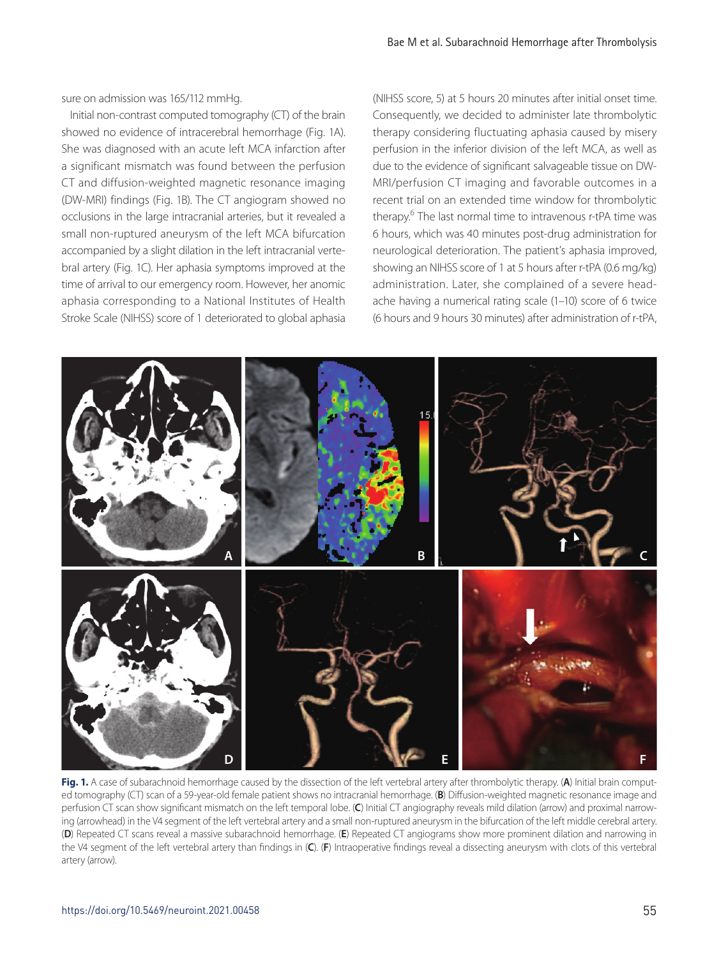sure on admission was 165/112 mmHg.

Initial non-contrast computed tomography (CT) of the brain showed no evidence of intracerebral hemorrhage (Fig. 1A). She was diagnosed with an acute left MCA infarction after a significant mismatch was found between the perfusion CT and diffusion-weighted magnetic resonance imaging (DW-MRI) findings (Fig. 1B). The CT angiogram showed no occlusions in the large intracranial arteries, but it revealed a small non-ruptured aneurysm of the left MCA bifurcation accompanied by a slight dilation in the left intracranial vertebral artery (Fig. 1C). Her aphasia symptoms improved at the time of arrival to our emergency room. However, her anomic aphasia corresponding to a National Institutes of Health Stroke Scale (NIHSS) score of 1 deteriorated to global aphasia (NIHSS score, 5) at 5 hours 20 minutes after initial onset time. Consequently, we decided to administer late thrombolytic therapy considering fluctuating aphasia caused by misery perfusion in the inferior division of the left MCA, as well as due to the evidence of significant salvageable tissue on DW-MRI/perfusion CT imaging and favorable outcomes in a recent trial on an extended time window for thrombolytic therapy.<sup>6</sup> The last normal time to intravenous r-tPA time was 6 hours, which was 40 minutes post-drug administration for neurological deterioration. The patient's aphasia improved, showing an NIHSS score of 1 at 5 hours after r-tPA (0.6 mg/kg) administration. Later, she complained of a severe headache having a numerical rating scale (1–10) score of 6 twice (6 hours and 9 hours 30 minutes) after administration of r-tPA,



**Fig. 1.** A case of subarachnoid hemorrhage caused by the dissection of the left vertebral artery after thrombolytic therapy. (**A**) Initial brain computed tomography (CT) scan of a 59-year-old female patient shows no intracranial hemorrhage. (**B**) Diffusion-weighted magnetic resonance image and perfusion CT scan show significant mismatch on the left temporal lobe. (**C**) Initial CT angiography reveals mild dilation (arrow) and proximal narrowing (arrowhead) in the V4 segment of the left vertebral artery and a small non-ruptured aneurysm in the bifurcation of the left middle cerebral artery. (**D**) Repeated CT scans reveal a massive subarachnoid hemorrhage. (**E**) Repeated CT angiograms show more prominent dilation and narrowing in the V4 segment of the left vertebral artery than findings in (**C**). (**F**) Intraoperative findings reveal a dissecting aneurysm with clots of this vertebral artery (arrow).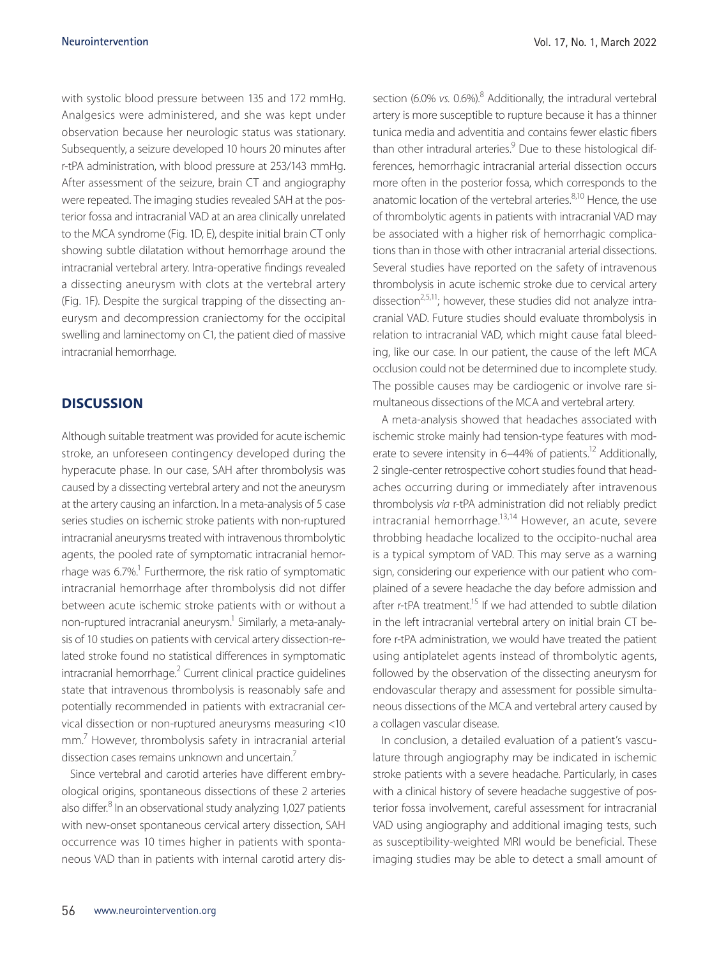with systolic blood pressure between 135 and 172 mmHg. Analgesics were administered, and she was kept under observation because her neurologic status was stationary. Subsequently, a seizure developed 10 hours 20 minutes after r-tPA administration, with blood pressure at 253/143 mmHg. After assessment of the seizure, brain CT and angiography were repeated. The imaging studies revealed SAH at the posterior fossa and intracranial VAD at an area clinically unrelated to the MCA syndrome (Fig. 1D, E), despite initial brain CT only showing subtle dilatation without hemorrhage around the intracranial vertebral artery. Intra-operative findings revealed a dissecting aneurysm with clots at the vertebral artery (Fig. 1F). Despite the surgical trapping of the dissecting aneurysm and decompression craniectomy for the occipital swelling and laminectomy on C1, the patient died of massive intracranial hemorrhage.

### **DISCUSSION**

Although suitable treatment was provided for acute ischemic stroke, an unforeseen contingency developed during the hyperacute phase. In our case, SAH after thrombolysis was caused by a dissecting vertebral artery and not the aneurysm at the artery causing an infarction. In a meta-analysis of 5 case series studies on ischemic stroke patients with non-ruptured intracranial aneurysms treated with intravenous thrombolytic agents, the pooled rate of symptomatic intracranial hemorrhage was 6.7%.<sup>1</sup> Furthermore, the risk ratio of symptomatic intracranial hemorrhage after thrombolysis did not differ between acute ischemic stroke patients with or without a non-ruptured intracranial aneurysm.<sup>1</sup> Similarly, a meta-analysis of 10 studies on patients with cervical artery dissection-related stroke found no statistical differences in symptomatic intracranial hemorrhage.<sup>2</sup> Current clinical practice guidelines state that intravenous thrombolysis is reasonably safe and potentially recommended in patients with extracranial cervical dissection or non-ruptured aneurysms measuring <10 mm.7 However, thrombolysis safety in intracranial arterial dissection cases remains unknown and uncertain<sup>7</sup>

Since vertebral and carotid arteries have different embryological origins, spontaneous dissections of these 2 arteries also differ.<sup>8</sup> In an observational study analyzing 1,027 patients with new-onset spontaneous cervical artery dissection, SAH occurrence was 10 times higher in patients with spontaneous VAD than in patients with internal carotid artery dis-

section (6.0% vs. 0.6%).<sup>8</sup> Additionally, the intradural vertebral artery is more susceptible to rupture because it has a thinner tunica media and adventitia and contains fewer elastic fibers than other intradural arteries.<sup>9</sup> Due to these histological differences, hemorrhagic intracranial arterial dissection occurs more often in the posterior fossa, which corresponds to the anatomic location of the vertebral arteries. $8,10$  Hence, the use of thrombolytic agents in patients with intracranial VAD may be associated with a higher risk of hemorrhagic complications than in those with other intracranial arterial dissections. Several studies have reported on the safety of intravenous thrombolysis in acute ischemic stroke due to cervical artery dissection<sup>2,5,11</sup>; however, these studies did not analyze intracranial VAD. Future studies should evaluate thrombolysis in relation to intracranial VAD, which might cause fatal bleeding, like our case. In our patient, the cause of the left MCA occlusion could not be determined due to incomplete study. The possible causes may be cardiogenic or involve rare simultaneous dissections of the MCA and vertebral artery.

A meta-analysis showed that headaches associated with ischemic stroke mainly had tension-type features with moderate to severe intensity in  $6-44\%$  of patients.<sup>12</sup> Additionally, 2 single-center retrospective cohort studies found that headaches occurring during or immediately after intravenous thrombolysis *via* r-tPA administration did not reliably predict intracranial hemorrhage.<sup>13,14</sup> However, an acute, severe throbbing headache localized to the occipito-nuchal area is a typical symptom of VAD. This may serve as a warning sign, considering our experience with our patient who complained of a severe headache the day before admission and after r-tPA treatment.<sup>15</sup> If we had attended to subtle dilation in the left intracranial vertebral artery on initial brain CT before r-tPA administration, we would have treated the patient using antiplatelet agents instead of thrombolytic agents, followed by the observation of the dissecting aneurysm for endovascular therapy and assessment for possible simultaneous dissections of the MCA and vertebral artery caused by a collagen vascular disease.

In conclusion, a detailed evaluation of a patient's vasculature through angiography may be indicated in ischemic stroke patients with a severe headache. Particularly, in cases with a clinical history of severe headache suggestive of posterior fossa involvement, careful assessment for intracranial VAD using angiography and additional imaging tests, such as susceptibility-weighted MRI would be beneficial. These imaging studies may be able to detect a small amount of